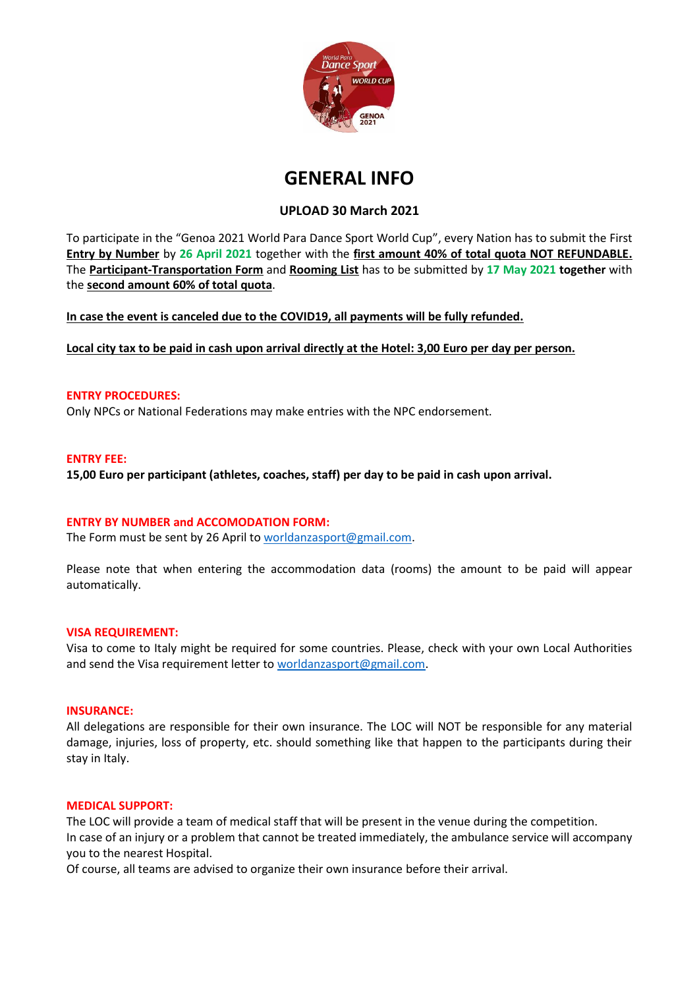

# **GENERAL INFO**

# **UPLOAD 30 March 2021**

To participate in the "Genoa 2021 World Para Dance Sport World Cup", every Nation has to submit the First **Entry by Number** by **26 April 2021** together with the **first amount 40% of total quota NOT REFUNDABLE.** The **Participant-Transportation Form** and **Rooming List** has to be submitted by **17 May 2021 together** with the **second amount 60% of total quota**.

**In case the event is canceled due to the COVID19, all payments will be fully refunded.**

**Local city tax to be paid in cash upon arrival directly at the Hotel: 3,00 Euro per day per person.**

#### **ENTRY PROCEDURES:**

Only NPCs or National Federations may make entries with the NPC endorsement.

# **ENTRY FEE:**

**15,00 Euro per participant (athletes, coaches, staff) per day to be paid in cash upon arrival.**

#### **ENTRY BY NUMBER and ACCOMODATION FORM:**

The Form must be sent by 26 April t[o worldanzasport@gmail.com.](mailto:worldanzasport@gmail.com)

Please note that when entering the accommodation data (rooms) the amount to be paid will appear automatically.

#### **VISA REQUIREMENT:**

Visa to come to Italy might be required for some countries. Please, check with your own Local Authorities and send the Visa requirement letter to [worldanzasport@gmail.com.](mailto:worldanzasport@gmail.com)

#### **INSURANCE:**

All delegations are responsible for their own insurance. The LOC will NOT be responsible for any material damage, injuries, loss of property, etc. should something like that happen to the participants during their stay in Italy.

#### **MEDICAL SUPPORT:**

The LOC will provide a team of medical staff that will be present in the venue during the competition. In case of an injury or a problem that cannot be treated immediately, the ambulance service will accompany you to the nearest Hospital.

Of course, all teams are advised to organize their own insurance before their arrival.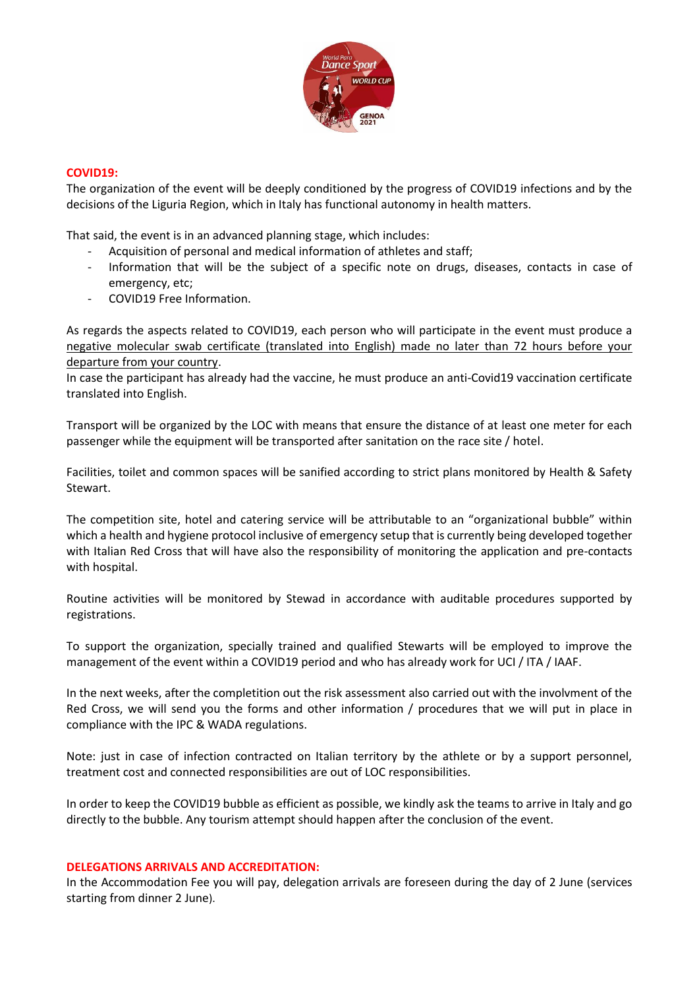

# **COVID19:**

The organization of the event will be deeply conditioned by the progress of COVID19 infections and by the decisions of the Liguria Region, which in Italy has functional autonomy in health matters.

That said, the event is in an advanced planning stage, which includes:

- Acquisition of personal and medical information of athletes and staff;
- Information that will be the subject of a specific note on drugs, diseases, contacts in case of emergency, etc;
- COVID19 Free Information.

As regards the aspects related to COVID19, each person who will participate in the event must produce a negative molecular swab certificate (translated into English) made no later than 72 hours before your departure from your country.

In case the participant has already had the vaccine, he must produce an anti-Covid19 vaccination certificate translated into English.

Transport will be organized by the LOC with means that ensure the distance of at least one meter for each passenger while the equipment will be transported after sanitation on the race site / hotel.

Facilities, toilet and common spaces will be sanified according to strict plans monitored by Health & Safety Stewart.

The competition site, hotel and catering service will be attributable to an "organizational bubble" within which a health and hygiene protocol inclusive of emergency setup that is currently being developed together with Italian Red Cross that will have also the responsibility of monitoring the application and pre-contacts with hospital.

Routine activities will be monitored by Stewad in accordance with auditable procedures supported by registrations.

To support the organization, specially trained and qualified Stewarts will be employed to improve the management of the event within a COVID19 period and who has already work for UCI / ITA / IAAF.

In the next weeks, after the completition out the risk assessment also carried out with the involvment of the Red Cross, we will send you the forms and other information / procedures that we will put in place in compliance with the IPC & WADA regulations.

Note: just in case of infection contracted on Italian territory by the athlete or by a support personnel, treatment cost and connected responsibilities are out of LOC responsibilities.

In order to keep the COVID19 bubble as efficient as possible, we kindly ask the teams to arrive in Italy and go directly to the bubble. Any tourism attempt should happen after the conclusion of the event.

#### **DELEGATIONS ARRIVALS AND ACCREDITATION:**

In the Accommodation Fee you will pay, delegation arrivals are foreseen during the day of 2 June (services starting from dinner 2 June).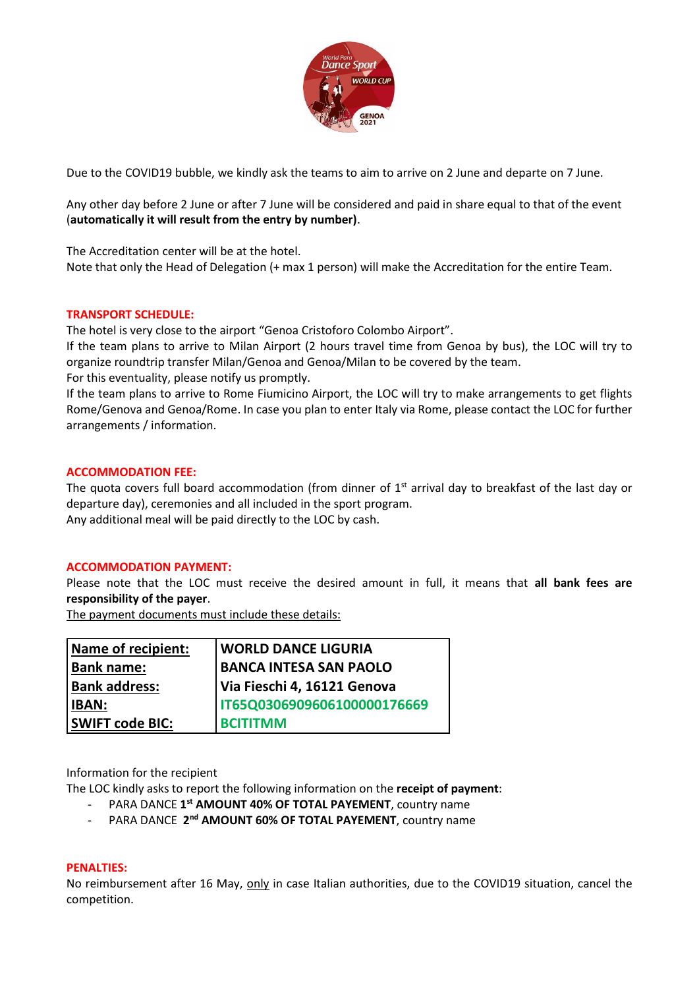

Due to the COVID19 bubble, we kindly ask the teams to aim to arrive on 2 June and departe on 7 June.

Any other day before 2 June or after 7 June will be considered and paid in share equal to that of the event (**automatically it will result from the entry by number)**.

The Accreditation center will be at the hotel.

Note that only the Head of Delegation (+ max 1 person) will make the Accreditation for the entire Team.

# **TRANSPORT SCHEDULE:**

The hotel is very close to the airport "Genoa Cristoforo Colombo Airport".

If the team plans to arrive to Milan Airport (2 hours travel time from Genoa by bus), the LOC will try to organize roundtrip transfer Milan/Genoa and Genoa/Milan to be covered by the team.

For this eventuality, please notify us promptly.

If the team plans to arrive to Rome Fiumicino Airport, the LOC will try to make arrangements to get flights Rome/Genova and Genoa/Rome. In case you plan to enter Italy via Rome, please contact the LOC for further arrangements / information.

# **ACCOMMODATION FEE:**

The quota covers full board accommodation (from dinner of  $1<sup>st</sup>$  arrival day to breakfast of the last day or departure day), ceremonies and all included in the sport program. Any additional meal will be paid directly to the LOC by cash.

#### **ACCOMMODATION PAYMENT:**

Please note that the LOC must receive the desired amount in full, it means that **all bank fees are responsibility of the payer**.

The payment documents must include these details:

| Name of recipient:     | <b>WORLD DANCE LIGURIA</b>    |  |
|------------------------|-------------------------------|--|
| <b>Bank name:</b>      | <b>BANCA INTESA SAN PAOLO</b> |  |
| <b>Bank address:</b>   | Via Fieschi 4, 16121 Genova   |  |
| <b>IBAN:</b>           | IT65Q0306909606100000176669   |  |
| <b>SWIFT code BIC:</b> | <b>BCITITMM</b>               |  |

Information for the recipient

The LOC kindly asks to report the following information on the **receipt of payment**:

- PARA DANCE **1 st AMOUNT 40% OF TOTAL PAYEMENT**, country name
- PARA DANCE 2<sup>nd</sup> AMOUNT 60% OF TOTAL PAYEMENT, country name

#### **PENALTIES:**

No reimbursement after 16 May, only in case Italian authorities, due to the COVID19 situation, cancel the competition.